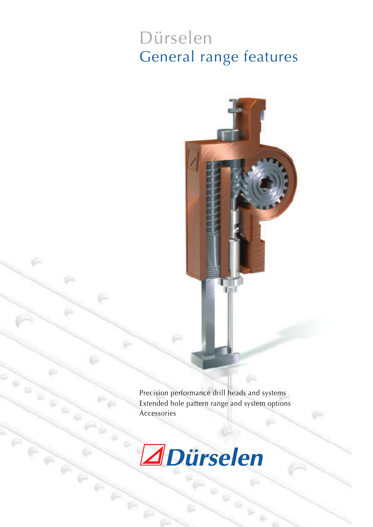# Dürselen General range features

Precision performance drill heads and systems Extended hole pattern range and system options Accessories

Ø.

 $\frac{1}{2}$ 



ö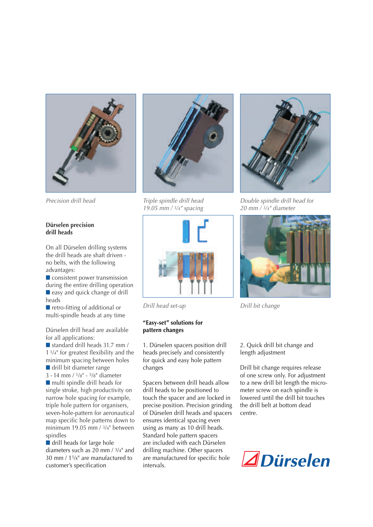

#### **Dürselen precision drill heads**

On all Dürselen drilling systems the drill heads are shaft driven no belts, with the following advantages:

■ consistent power transmission during the entire drilling operation ■ easy and quick change of drill heads

■ retro-fitting of additional or multi-spindle heads at any time

Dürselen drill head are available for all applications:

■ standard drill heads 31.7 mm / 1 1/4" for greatest flexibility and the minimum spacing between holes ■ drill bit diameter range 3 - 14 mm / 1/8" - 5/8" diameter ■ multi spindle drill heads for single stroke, high productivity on narrow hole spacing for example, triple hole pattern for organisers, seven-hole-pattern for aeronautical map specific hole patterns down to minimum 19.05 mm / 3/4" between spindles

■ drill heads for large hole diameters such as 20 mm / 3/4" and 30 mm / 11/4" are manufactured to customer's specification



*Precision drill head Triple spindle drill head 19.05 mm / 3/4" spacing*



#### **"Easy-set" solutions for pattern changes**

1. Dürselen spacers position drill heads precisely and consistently for quick and easy hole pattern changes

Spacers between drill heads allow drill heads to be positioned to touch the spacer and are locked in precise position. Precision grinding of Dürselen drill heads and spacers ensures identical spacing even using as many as 10 drill heads. Standard hole pattern spacers are included with each Dürselen drilling machine. Other spacers are manufactured for specific hole intervals.



*Double spindle drill head for 20 mm / 3/4" diameter*



*Drill head set-up Drill bit change*

2. Quick drill bit change and length adjustment

Drill bit change requires release of one screw only. For adjustment to a new drill bit length the micrometer screw on each spindle is lowered until the drill bit touches the drill belt at bottom dead centre.

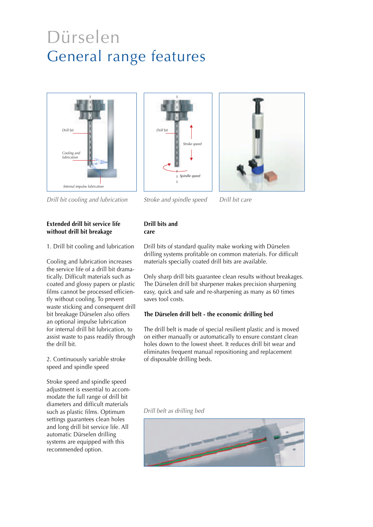## Dürselen General range features







*Drill bit cooling and lubrication Stroke and spindle speed*

*Drill bit care*

### **Extended drill bit service life without drill bit breakage**

1. Drill bit cooling and lubrication

Cooling and lubrication increases the service life of a drill bit dramatically. Difficult materials such as coated and glossy papers or plastic films cannot be processed efficiently without cooling. To prevent waste sticking and consequent drill bit breakage Dürselen also offers an optional impulse lubrication for internal drill bit lubrication, to assist waste to pass readily through the drill bit.

2. Continuously variable stroke speed and spindle speed

Stroke speed and spindle speed adjustment is essential to accommodate the full range of drill bit diameters and difficult materials such as plastic films. Optimum settings guarantees clean holes and long drill bit service life. All automatic Dürselen drilling systems are equipped with this recommended option.

## **Drill bits and care**

Drill bits of standard quality make working with Dürselen drilling systems profitable on common materials. For difficult materials specially coated drill bits are available.

Only sharp drill bits guarantee clean results without breakages. The Dürselen drill bit sharpener makes precision sharpening easy, quick and safe and re-sharpening as many as 60 times saves tool costs.

## **The Dürselen drill belt - the economic drilling bed**

The drill belt is made of special resilient plastic and is moved on either manually or automatically to ensure constant clean holes down to the lowest sheet. It reduces drill bit wear and eliminates frequent manual repositioning and replacement of disposable drilling beds.

*Drill belt as drilling bed*